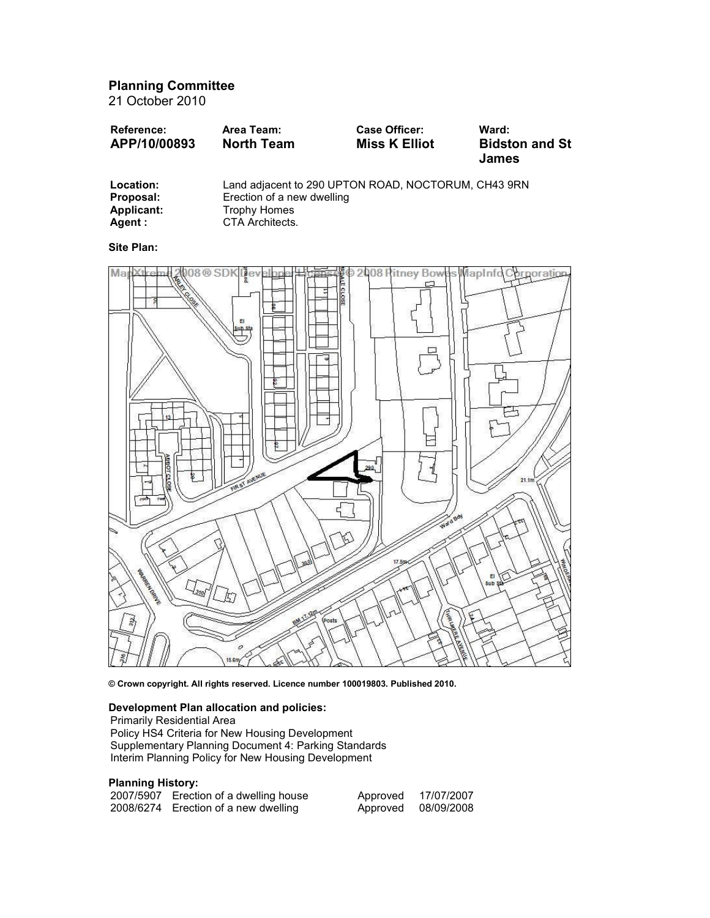Planning Committee

21 October 2010

| <b>Reference:</b> | Area Team:        | <b>Case Officer:</b> | Ward:                 |
|-------------------|-------------------|----------------------|-----------------------|
| APP/10/00893      | <b>North Team</b> | <b>Miss K Elliot</b> | <b>Bidston and St</b> |
|                   |                   |                      | <b>James</b>          |

| Location:  | Land adjacent to 290 UPTON ROAD, NOCTORUM, CH43 9RN |
|------------|-----------------------------------------------------|
| Proposal:  | Erection of a new dwelling                          |
| Applicant: | Trophy Homes                                        |
| Agent :    | CTA Architects.                                     |

Site Plan:



© Crown copyright. All rights reserved. Licence number 100019803. Published 2010.

# Development Plan allocation and policies:

Primarily Residential Area

Policy HS4 Criteria for New Housing Development Supplementary Planning Document 4: Parking Standards Interim Planning Policy for New Housing Development

# Planning History:

| 2007/5907 Erection of a dwelling house | Approved | 17/07/2007 |
|----------------------------------------|----------|------------|
| 2008/6274 Erection of a new dwelling   | Approved | 08/09/2008 |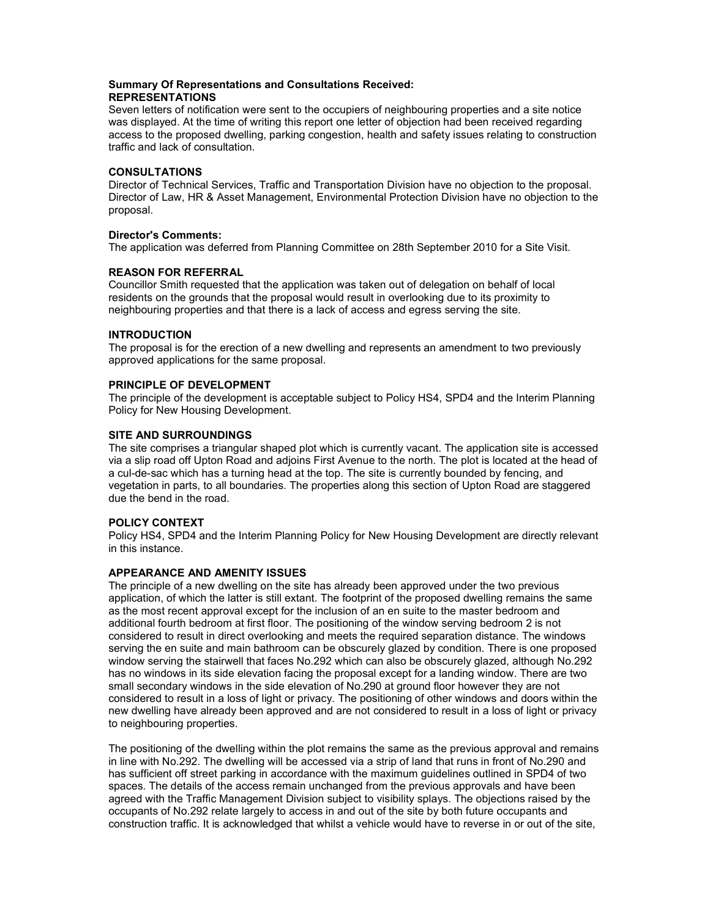# Summary Of Representations and Consultations Received: REPRESENTATIONS

Seven letters of notification were sent to the occupiers of neighbouring properties and a site notice was displayed. At the time of writing this report one letter of objection had been received regarding access to the proposed dwelling, parking congestion, health and safety issues relating to construction traffic and lack of consultation.

# **CONSULTATIONS**

Director of Technical Services, Traffic and Transportation Division have no objection to the proposal. Director of Law, HR & Asset Management, Environmental Protection Division have no objection to the proposal.

# Director's Comments:

The application was deferred from Planning Committee on 28th September 2010 for a Site Visit.

# REASON FOR REFERRAL

Councillor Smith requested that the application was taken out of delegation on behalf of local residents on the grounds that the proposal would result in overlooking due to its proximity to neighbouring properties and that there is a lack of access and egress serving the site.

# INTRODUCTION

The proposal is for the erection of a new dwelling and represents an amendment to two previously approved applications for the same proposal.

# PRINCIPLE OF DEVELOPMENT

The principle of the development is acceptable subject to Policy HS4, SPD4 and the Interim Planning Policy for New Housing Development.

# SITE AND SURROUNDINGS

The site comprises a triangular shaped plot which is currently vacant. The application site is accessed via a slip road off Upton Road and adjoins First Avenue to the north. The plot is located at the head of a cul-de-sac which has a turning head at the top. The site is currently bounded by fencing, and vegetation in parts, to all boundaries. The properties along this section of Upton Road are staggered due the bend in the road.

# POLICY CONTEXT

Policy HS4, SPD4 and the Interim Planning Policy for New Housing Development are directly relevant in this instance.

# APPEARANCE AND AMENITY ISSUES

The principle of a new dwelling on the site has already been approved under the two previous application, of which the latter is still extant. The footprint of the proposed dwelling remains the same as the most recent approval except for the inclusion of an en suite to the master bedroom and additional fourth bedroom at first floor. The positioning of the window serving bedroom 2 is not considered to result in direct overlooking and meets the required separation distance. The windows serving the en suite and main bathroom can be obscurely glazed by condition. There is one proposed window serving the stairwell that faces No.292 which can also be obscurely glazed, although No.292 has no windows in its side elevation facing the proposal except for a landing window. There are two small secondary windows in the side elevation of No.290 at ground floor however they are not considered to result in a loss of light or privacy. The positioning of other windows and doors within the new dwelling have already been approved and are not considered to result in a loss of light or privacy to neighbouring properties.

The positioning of the dwelling within the plot remains the same as the previous approval and remains in line with No.292. The dwelling will be accessed via a strip of land that runs in front of No.290 and has sufficient off street parking in accordance with the maximum guidelines outlined in SPD4 of two spaces. The details of the access remain unchanged from the previous approvals and have been agreed with the Traffic Management Division subject to visibility splays. The objections raised by the occupants of No.292 relate largely to access in and out of the site by both future occupants and construction traffic. It is acknowledged that whilst a vehicle would have to reverse in or out of the site,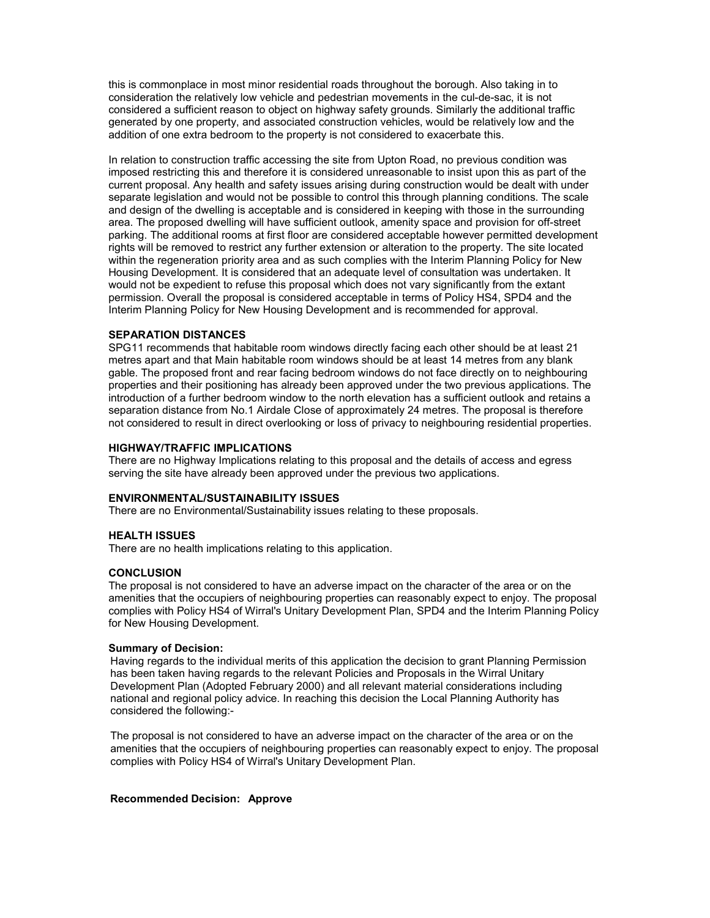this is commonplace in most minor residential roads throughout the borough. Also taking in to consideration the relatively low vehicle and pedestrian movements in the cul-de-sac, it is not considered a sufficient reason to object on highway safety grounds. Similarly the additional traffic generated by one property, and associated construction vehicles, would be relatively low and the addition of one extra bedroom to the property is not considered to exacerbate this.

In relation to construction traffic accessing the site from Upton Road, no previous condition was imposed restricting this and therefore it is considered unreasonable to insist upon this as part of the current proposal. Any health and safety issues arising during construction would be dealt with under separate legislation and would not be possible to control this through planning conditions. The scale and design of the dwelling is acceptable and is considered in keeping with those in the surrounding area. The proposed dwelling will have sufficient outlook, amenity space and provision for off-street parking. The additional rooms at first floor are considered acceptable however permitted development rights will be removed to restrict any further extension or alteration to the property. The site located within the regeneration priority area and as such complies with the Interim Planning Policy for New Housing Development. It is considered that an adequate level of consultation was undertaken. It would not be expedient to refuse this proposal which does not vary significantly from the extant permission. Overall the proposal is considered acceptable in terms of Policy HS4, SPD4 and the Interim Planning Policy for New Housing Development and is recommended for approval.

## SEPARATION DISTANCES

SPG11 recommends that habitable room windows directly facing each other should be at least 21 metres apart and that Main habitable room windows should be at least 14 metres from any blank gable. The proposed front and rear facing bedroom windows do not face directly on to neighbouring properties and their positioning has already been approved under the two previous applications. The introduction of a further bedroom window to the north elevation has a sufficient outlook and retains a separation distance from No.1 Airdale Close of approximately 24 metres. The proposal is therefore not considered to result in direct overlooking or loss of privacy to neighbouring residential properties.

## HIGHWAY/TRAFFIC IMPLICATIONS

There are no Highway Implications relating to this proposal and the details of access and egress serving the site have already been approved under the previous two applications.

## ENVIRONMENTAL/SUSTAINABILITY ISSUES

There are no Environmental/Sustainability issues relating to these proposals.

## HEALTH ISSUES

There are no health implications relating to this application.

## **CONCLUSION**

The proposal is not considered to have an adverse impact on the character of the area or on the amenities that the occupiers of neighbouring properties can reasonably expect to enjoy. The proposal complies with Policy HS4 of Wirral's Unitary Development Plan, SPD4 and the Interim Planning Policy for New Housing Development.

#### Summary of Decision:

Having regards to the individual merits of this application the decision to grant Planning Permission has been taken having regards to the relevant Policies and Proposals in the Wirral Unitary Development Plan (Adopted February 2000) and all relevant material considerations including national and regional policy advice. In reaching this decision the Local Planning Authority has considered the following:-

The proposal is not considered to have an adverse impact on the character of the area or on the amenities that the occupiers of neighbouring properties can reasonably expect to enjoy. The proposal complies with Policy HS4 of Wirral's Unitary Development Plan.

#### Recommended Decision: Approve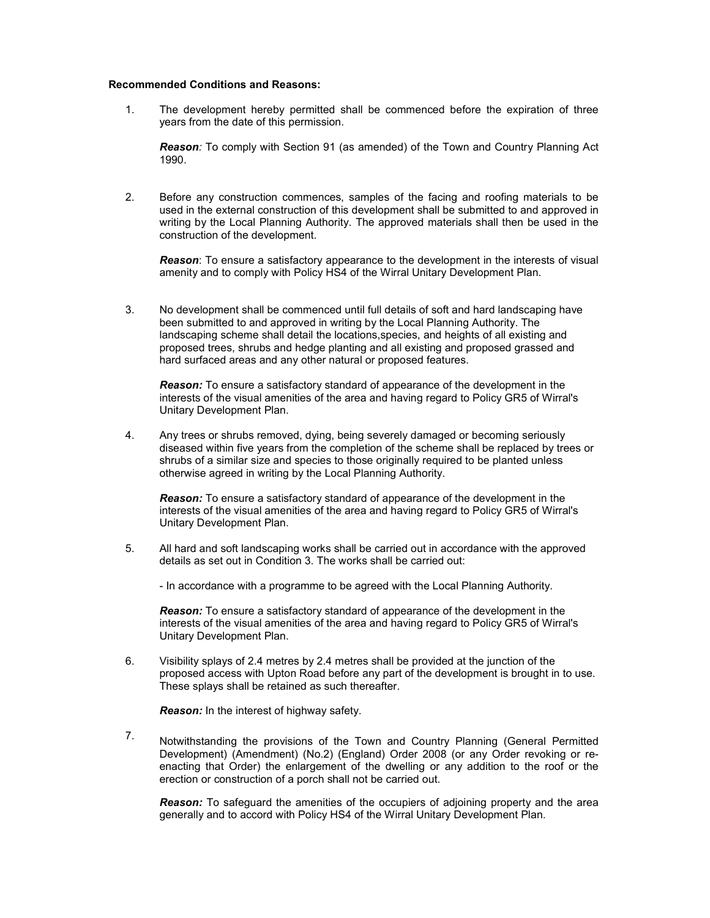#### Recommended Conditions and Reasons:

1. The development hereby permitted shall be commenced before the expiration of three years from the date of this permission.

Reason: To comply with Section 91 (as amended) of the Town and Country Planning Act 1990.

2. Before any construction commences, samples of the facing and roofing materials to be used in the external construction of this development shall be submitted to and approved in writing by the Local Planning Authority. The approved materials shall then be used in the construction of the development.

**Reason:** To ensure a satisfactory appearance to the development in the interests of visual amenity and to comply with Policy HS4 of the Wirral Unitary Development Plan.

3. No development shall be commenced until full details of soft and hard landscaping have been submitted to and approved in writing by the Local Planning Authority. The landscaping scheme shall detail the locations,species, and heights of all existing and proposed trees, shrubs and hedge planting and all existing and proposed grassed and hard surfaced areas and any other natural or proposed features.

**Reason:** To ensure a satisfactory standard of appearance of the development in the interests of the visual amenities of the area and having regard to Policy GR5 of Wirral's Unitary Development Plan.

4. Any trees or shrubs removed, dying, being severely damaged or becoming seriously diseased within five years from the completion of the scheme shall be replaced by trees or shrubs of a similar size and species to those originally required to be planted unless otherwise agreed in writing by the Local Planning Authority.

**Reason:** To ensure a satisfactory standard of appearance of the development in the interests of the visual amenities of the area and having regard to Policy GR5 of Wirral's Unitary Development Plan.

5. All hard and soft landscaping works shall be carried out in accordance with the approved details as set out in Condition 3. The works shall be carried out:

- In accordance with a programme to be agreed with the Local Planning Authority.

**Reason:** To ensure a satisfactory standard of appearance of the development in the interests of the visual amenities of the area and having regard to Policy GR5 of Wirral's Unitary Development Plan.

6. Visibility splays of 2.4 metres by 2.4 metres shall be provided at the junction of the proposed access with Upton Road before any part of the development is brought in to use. These splays shall be retained as such thereafter.

Reason: In the interest of highway safety.

7. Notwithstanding the provisions of the Town and Country Planning (General Permitted Development) (Amendment) (No.2) (England) Order 2008 (or any Order revoking or reenacting that Order) the enlargement of the dwelling or any addition to the roof or the erection or construction of a porch shall not be carried out.

**Reason:** To safeguard the amenities of the occupiers of adjoining property and the area generally and to accord with Policy HS4 of the Wirral Unitary Development Plan.